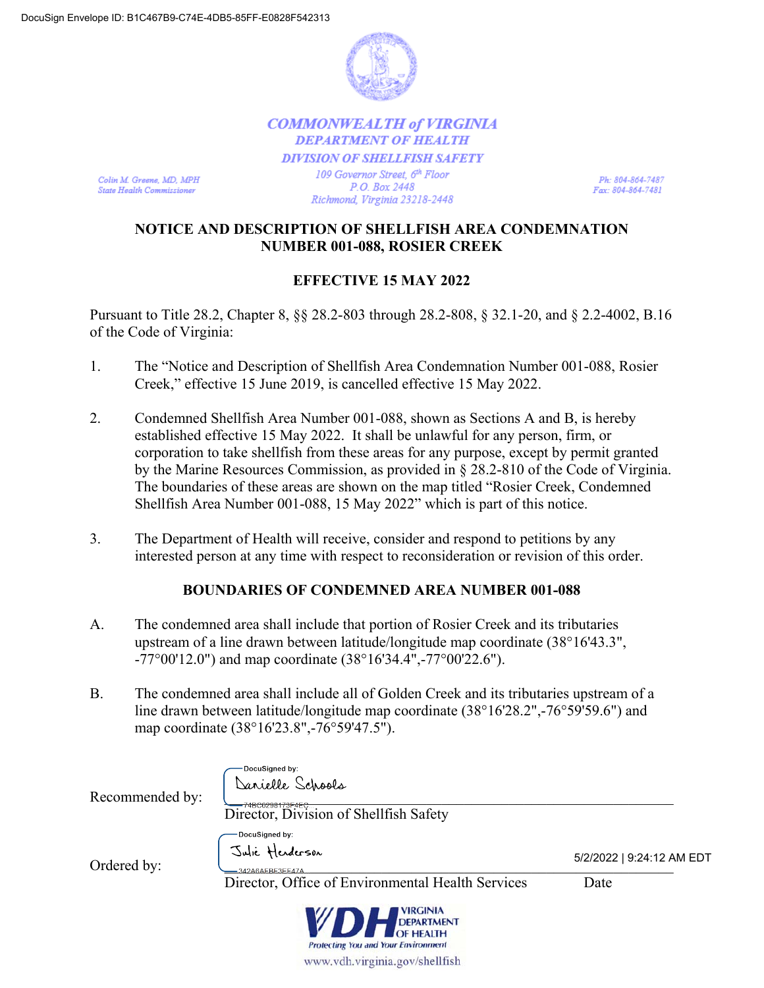

**COMMONWEALTH of VIRGINIA DEPARTMENT OF HEALTH DIVISION OF SHELLFISH SAFETY** 

Colin M. Greene, MD, MPH **State Health Commissioner** 

109 Governor Street, 6th Floor P.O. Box 2448 Richmond, Virginia 23218-2448

Ph: 804-864-7487 Fax: 804-864-7481

## **NOTICE AND DESCRIPTION OF SHELLFISH AREA CONDEMNATION NUMBER 001-088, ROSIER CREEK**

## **EFFECTIVE 15 MAY 2022**

Pursuant to Title 28.2, Chapter 8, §§ 28.2-803 through 28.2-808, § 32.1-20, and § 2.2-4002, B.16 of the Code of Virginia:

- 1. The "Notice and Description of Shellfish Area Condemnation Number 001-088, Rosier Creek," effective 15 June 2019, is cancelled effective 15 May 2022.
- 2. Condemned Shellfish Area Number 001-088, shown as Sections A and B, is hereby established effective 15 May 2022. It shall be unlawful for any person, firm, or corporation to take shellfish from these areas for any purpose, except by permit granted by the Marine Resources Commission, as provided in § 28.2-810 of the Code of Virginia. The boundaries of these areas are shown on the map titled "Rosier Creek, Condemned Shellfish Area Number 001-088, 15 May 2022" which is part of this notice.
- 3. The Department of Health will receive, consider and respond to petitions by any interested person at any time with respect to reconsideration or revision of this order.

## **BOUNDARIES OF CONDEMNED AREA NUMBER 001-088**

- A. The condemned area shall include that portion of Rosier Creek and its tributaries upstream of a line drawn between latitude/longitude map coordinate (38°16'43.3", -77°00'12.0") and map coordinate (38°16'34.4",-77°00'22.6").
- B. The condemned area shall include all of Golden Creek and its tributaries upstream of a line drawn between latitude/longitude map coordinate (38°16'28.2",-76°59'59.6") and map coordinate (38°16'23.8",-76°59'47.5").

| Recommended by: | DocuSigned by:<br>Danielle Schools<br>Director, Division of Shellfish Safety                               |                                   |
|-----------------|------------------------------------------------------------------------------------------------------------|-----------------------------------|
| Ordered by:     | -DocuSigned by:<br>Julie Henderson<br>342A6AFBF3FF47A<br>Director, Office of Environmental Health Services | 5/2/2022   9:24:12 AM EDT<br>Date |
|                 | <b>VDH</b> DEPARTMENT<br><b>Protecting You and Your Environment</b>                                        |                                   |

www.vdh.virginia.gov/shellfish